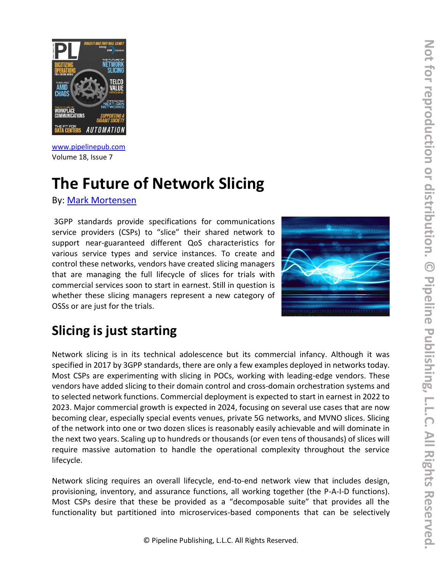

[www.pipelinepub.com](https://www.pipelinepub.com/260) Volume 18, Issue 7

# **The Future of Network Slicing**

By: [Mark Mortensen](https://www.pipelinepub.com/contributors#Mark-Mortensen)

3GPP standards provide specifications for communications service providers (CSPs) to "slice" their shared network to support near-guaranteed different QoS characteristics for various service types and service instances. To create and control these networks, vendors have created slicing managers that are managing the full lifecycle of slices for trials with commercial services soon to start in earnest. Still in question is whether these slicing managers represent a new category of OSSs or are just for the trials.



# **Slicing is just starting**

Network slicing is in its technical adolescence but its commercial infancy. Although it was specified in 2017 by 3GPP standards, there are only a few examples deployed in networks today. Most CSPs are experimenting with slicing in POCs, working with leading-edge vendors. These vendors have added slicing to their domain control and cross-domain orchestration systems and to selected network functions. Commercial deployment is expected to start in earnest in 2022 to 2023. Major commercial growth is expected in 2024, focusing on several use cases that are now becoming clear, especially special events venues, private 5G networks, and MVNO slices. Slicing of the network into one or two dozen slices is reasonably easily achievable and will dominate in the next two years. Scaling up to hundreds or thousands (or even tens of thousands) of slices will require massive automation to handle the operational complexity throughout the service lifecycle.

Network slicing requires an overall lifecycle, end-to-end network view that includes design, provisioning, inventory, and assurance functions, all working together (the P-A-I-D functions). Most CSPs desire that these be provided as a "decomposable suite" that provides all the functionality but partitioned into microservices-based components that can be selectively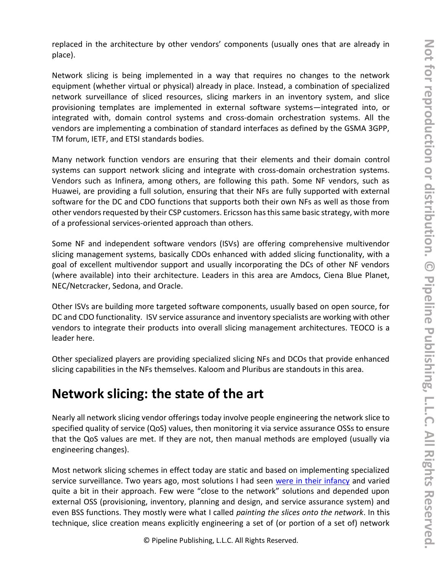replaced in the architecture by other vendors' components (usually ones that are already in place).

Network slicing is being implemented in a way that requires no changes to the network equipment (whether virtual or physical) already in place. Instead, a combination of specialized network surveillance of sliced resources, slicing markers in an inventory system, and slice provisioning templates are implemented in external software systems—integrated into, or integrated with, domain control systems and cross-domain orchestration systems. All the vendors are implementing a combination of standard interfaces as defined by the GSMA 3GPP, TM forum, IETF, and ETSI standards bodies.

Many network function vendors are ensuring that their elements and their domain control systems can support network slicing and integrate with cross-domain orchestration systems. Vendors such as Infinera, among others, are following this path. Some NF vendors, such as Huawei, are providing a full solution, ensuring that their NFs are fully supported with external software for the DC and CDO functions that supports both their own NFs as well as those from other vendors requested by their CSP customers. Ericsson has this same basic strategy, with more of a professional services-oriented approach than others.

Some NF and independent software vendors (ISVs) are offering comprehensive multivendor slicing management systems, basically CDOs enhanced with added slicing functionality, with a goal of excellent multivendor support and usually incorporating the DCs of other NF vendors (where available) into their architecture. Leaders in this area are Amdocs, Ciena Blue Planet, NEC/Netcracker, Sedona, and Oracle.

Other ISVs are building more targeted software components, usually based on open source, for DC and CDO functionality. ISV service assurance and inventory specialists are working with other vendors to integrate their products into overall slicing management architectures. TEOCO is a leader here.

Other specialized players are providing specialized slicing NFs and DCOs that provide enhanced slicing capabilities in the NFs themselves. Kaloom and Pluribus are standouts in this area.

### **Network slicing: the state of the art**

Nearly all network slicing vendor offerings today involve people engineering the network slice to specified quality of service (QoS) values, then monitoring it via service assurance OSSs to ensure that the QoS values are met. If they are not, then manual methods are employed (usually via engineering changes).

Most network slicing schemes in effect today are static and based on implementing specialized service surveillance. Two years ago, most solutions I had seen [were in their infancy](https://www.acgcc.com/blogs/2020/08/11/network-slicing-its-infancy/) and varied quite a bit in their approach. Few were "close to the network" solutions and depended upon external OSS (provisioning, inventory, planning and design, and service assurance system) and even BSS functions. They mostly were what I called *painting the slices onto the network*. In this technique, slice creation means explicitly engineering a set of (or portion of a set of) network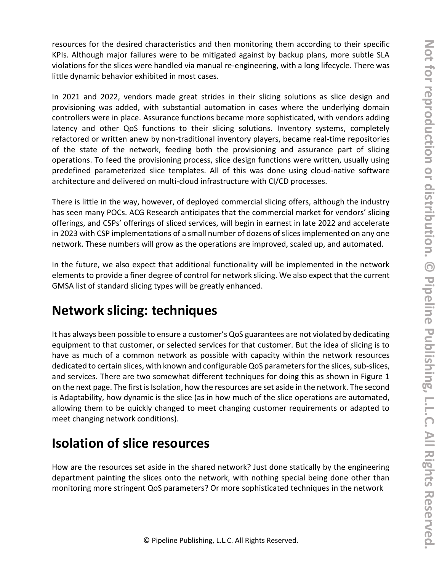resources for the desired characteristics and then monitoring them according to their specific KPIs. Although major failures were to be mitigated against by backup plans, more subtle SLA violations for the slices were handled via manual re-engineering, with a long lifecycle. There was little dynamic behavior exhibited in most cases.

In 2021 and 2022, vendors made great strides in their slicing solutions as slice design and provisioning was added, with substantial automation in cases where the underlying domain controllers were in place. Assurance functions became more sophisticated, with vendors adding latency and other QoS functions to their slicing solutions. Inventory systems, completely refactored or written anew by non-traditional inventory players, became real-time repositories of the state of the network, feeding both the provisioning and assurance part of slicing operations. To feed the provisioning process, slice design functions were written, usually using predefined parameterized slice templates. All of this was done using cloud-native software architecture and delivered on multi-cloud infrastructure with CI/CD processes.

There is little in the way, however, of deployed commercial slicing offers, although the industry has seen many POCs. ACG Research anticipates that the commercial market for vendors' slicing offerings, and CSPs' offerings of sliced services, will begin in earnest in late 2022 and accelerate in 2023 with CSP implementations of a small number of dozens of slices implemented on any one network. These numbers will grow as the operations are improved, scaled up, and automated.

In the future, we also expect that additional functionality will be implemented in the network elements to provide a finer degree of control for network slicing. We also expect that the current GMSA list of standard slicing types will be greatly enhanced.

### **Network slicing: techniques**

It has always been possible to ensure a customer's QoS guarantees are not violated by dedicating equipment to that customer, or selected services for that customer. But the idea of slicing is to have as much of a common network as possible with capacity within the network resources dedicated to certain slices, with known and configurable QoS parameters for the slices, sub-slices, and services. There are two somewhat different techniques for doing this as shown in Figure 1 on the next page. The first is Isolation, how the resources are set aside in the network. The second is Adaptability, how dynamic is the slice (as in how much of the slice operations are automated, allowing them to be quickly changed to meet changing customer requirements or adapted to meet changing network conditions).

### **Isolation of slice resources**

How are the resources set aside in the shared network? Just done statically by the engineering department painting the slices onto the network, with nothing special being done other than monitoring more stringent QoS parameters? Or more sophisticated techniques in the network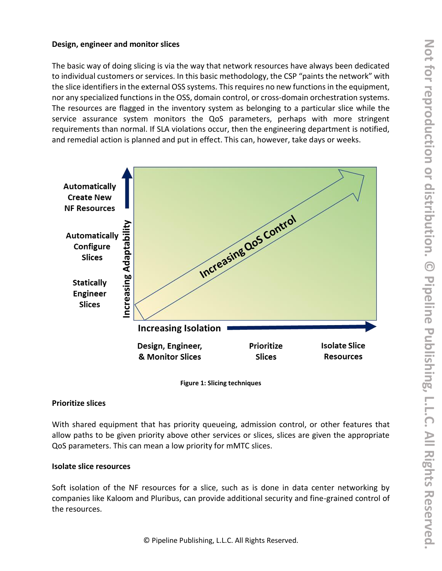#### **Design, engineer and monitor slices**

The basic way of doing slicing is via the way that network resources have always been dedicated to individual customers or services. In this basic methodology, the CSP "paints the network" with the slice identifiers in the external OSS systems. This requires no new functions in the equipment, nor any specialized functions in the OSS, domain control, or cross-domain orchestration systems. The resources are flagged in the inventory system as belonging to a particular slice while the service assurance system monitors the QoS parameters, perhaps with more stringent requirements than normal. If SLA violations occur, then the engineering department is notified, and remedial action is planned and put in effect. This can, however, take days or weeks.





#### **Prioritize slices**

With shared equipment that has priority queueing, admission control, or other features that allow paths to be given priority above other services or slices, slices are given the appropriate QoS parameters. This can mean a low priority for mMTC slices.

#### **Isolate slice resources**

Soft isolation of the NF resources for a slice, such as is done in data center networking by companies like Kaloom and Pluribus, can provide additional security and fine-grained control of the resources.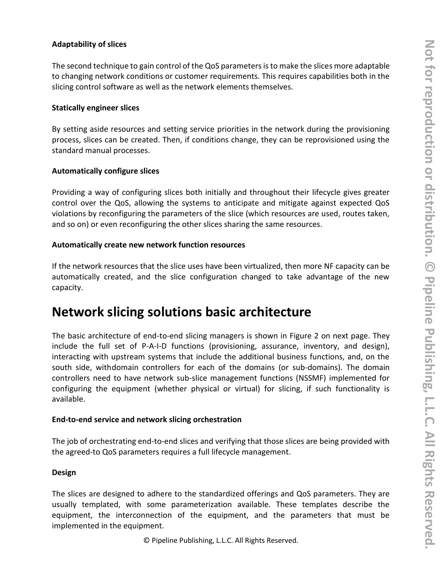#### **Adaptability of slices**

The second technique to gain control of the QoS parameters is to make the slices more adaptable to changing network conditions or customer requirements. This requires capabilities both in the slicing control software as well as the network elements themselves.

#### **Statically engineer slices**

By setting aside resources and setting service priorities in the network during the provisioning process, slices can be created. Then, if conditions change, they can be reprovisioned using the standard manual processes.

#### **Automatically configure slices**

Providing a way of configuring slices both initially and throughout their lifecycle gives greater control over the QoS, allowing the systems to anticipate and mitigate against expected QoS violations by reconfiguring the parameters of the slice (which resources are used, routes taken, and so on) or even reconfiguring the other slices sharing the same resources.

#### **Automatically create new network function resources**

If the network resources that the slice uses have been virtualized, then more NF capacity can be automatically created, and the slice configuration changed to take advantage of the new capacity.

### **Network slicing solutions basic architecture**

The basic architecture of end-to-end slicing managers is shown in Figure 2 on next page. They include the full set of P-A-I-D functions (provisioning, assurance, inventory, and design), interacting with upstream systems that include the additional business functions, and, on the south side, withdomain controllers for each of the domains (or sub-domains). The domain controllers need to have network sub-slice management functions (NSSMF) implemented for configuring the equipment (whether physical or virtual) for slicing, if such functionality is available.

#### **End-to-end service and network slicing orchestration**

The job of orchestrating end-to-end slices and verifying that those slices are being provided with the agreed-to QoS parameters requires a full lifecycle management.

#### **Design**

The slices are designed to adhere to the standardized offerings and QoS parameters. They are usually templated, with some parameterization available. These templates describe the equipment, the interconnection of the equipment, and the parameters that must be implemented in the equipment.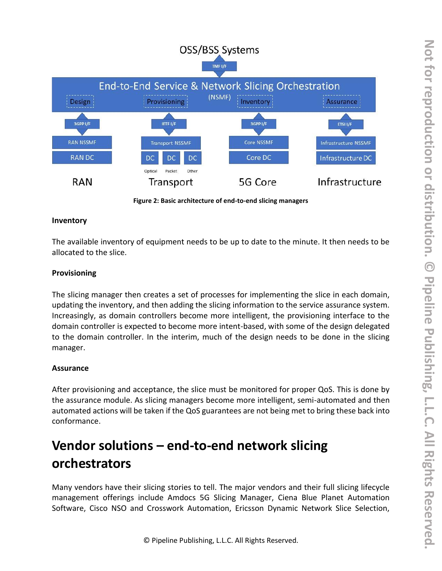

**Figure 2: Basic architecture of end-to-end slicing managers**

#### **Inventory**

The available inventory of equipment needs to be up to date to the minute. It then needs to be allocated to the slice.

#### **Provisioning**

The slicing manager then creates a set of processes for implementing the slice in each domain, updating the inventory, and then adding the slicing information to the service assurance system. Increasingly, as domain controllers become more intelligent, the provisioning interface to the domain controller is expected to become more intent-based, with some of the design delegated to the domain controller. In the interim, much of the design needs to be done in the slicing manager.

#### **Assurance**

After provisioning and acceptance, the slice must be monitored for proper QoS. This is done by the assurance module. As slicing managers become more intelligent, semi-automated and then automated actions will be taken if the QoS guarantees are not being met to bring these back into conformance.

## **Vendor solutions – end-to-end network slicing orchestrators**

Many vendors have their slicing stories to tell. The major vendors and their full slicing lifecycle management offerings include Amdocs 5G Slicing Manager, Ciena Blue Planet Automation Software, Cisco NSO and Crosswork Automation, Ericsson Dynamic Network Slice Selection,